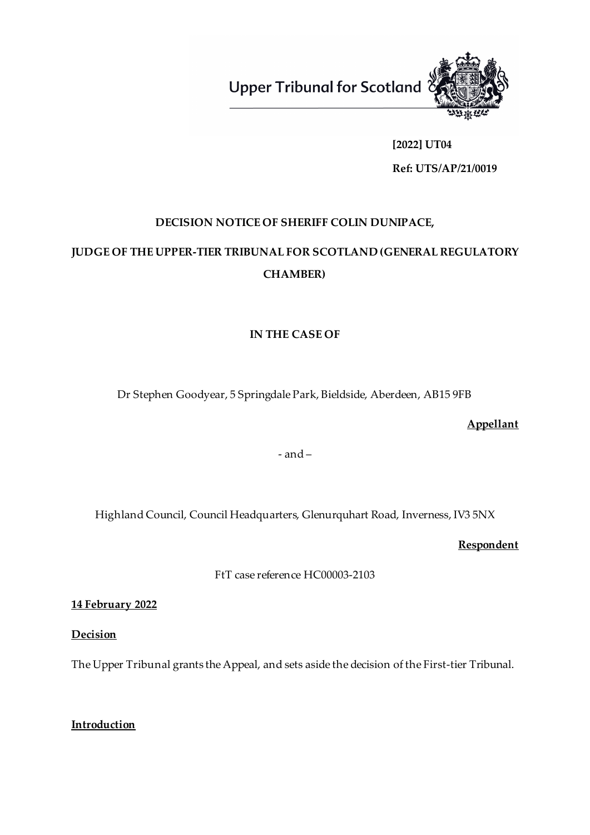Upper Tribunal for Scotland



## **[2022] UT04**

**Ref: UTS/AP/21/0019**

# **DECISION NOTICE OF SHERIFF COLIN DUNIPACE,**

# **JUDGE OF THE UPPER-TIER TRIBUNAL FOR SCOTLAND (GENERAL REGULATORY CHAMBER)**

### **IN THE CASE OF**

Dr Stephen Goodyear, 5 Springdale Park, Bieldside, Aberdeen, AB15 9FB

**Appellant** 

- and –

Highland Council, Council Headquarters, Glenurquhart Road, Inverness, IV3 5NX

**Respondent**

FtT case reference HC00003-2103

**14 February 2022**

**Decision**

The Upper Tribunal grants the Appeal, and sets aside the decision of the First-tier Tribunal.

**Introduction**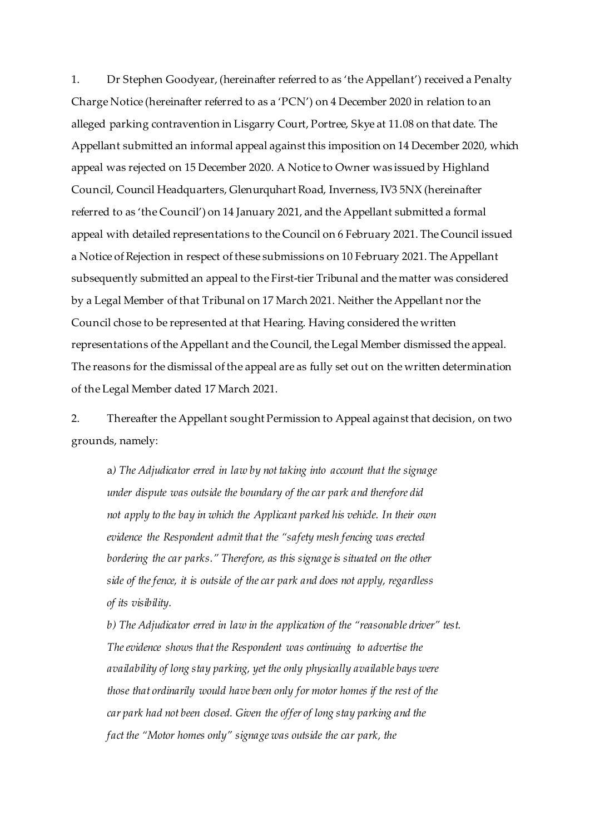1. Dr Stephen Goodyear, (hereinafter referred to as 'the Appellant') received a Penalty Charge Notice (hereinafter referred to as a 'PCN') on 4 December 2020 in relation to an alleged parking contravention in Lisgarry Court, Portree, Skye at 11.08 on that date. The Appellant submitted an informal appeal against this imposition on 14 December 2020, which appeal was rejected on 15 December 2020. A Notice to Owner was issued by Highland Council, Council Headquarters, Glenurquhart Road, Inverness, IV3 5NX (hereinafter referred to as 'the Council') on 14 January 2021, and the Appellant submitted a formal appeal with detailed representations to the Council on 6 February 2021. The Council issued a Notice of Rejection in respect of these submissions on 10 February 2021. The Appellant subsequently submitted an appeal to the First-tier Tribunal and the matter was considered by a Legal Member of that Tribunal on 17 March 2021. Neither the Appellant nor the Council chose to be represented at that Hearing. Having considered the written representations of the Appellant and the Council, the Legal Member dismissed the appeal. The reasons for the dismissal of the appeal are as fully set out on the written determination of the Legal Member dated 17 March 2021.

2. Thereafter the Appellant sought Permission to Appeal against that decision, on two grounds, namely:

a*) The Adjudicator erred in law by not taking into account that the signage under dispute was outside the boundary of the car park and therefore did not apply to the bay in which the Applicant parked his vehicle. In their own evidence the Respondent admit that the "safety mesh fencing was erected bordering the car parks." Therefore, as this signage is situated on the other side of the fence, it is outside of the car park and does not apply, regardless of its visibility.*

*b) The Adjudicator erred in law in the application of the "reasonable driver" test. The evidence shows that the Respondent was continuing to advertise the availability of long stay parking, yet the only physically available bays were those that ordinarily would have been only for motor homes if the rest of the car park had not been closed. Given the offer of long stay parking and the fact the "Motor homes only" signage was outside the car park, the*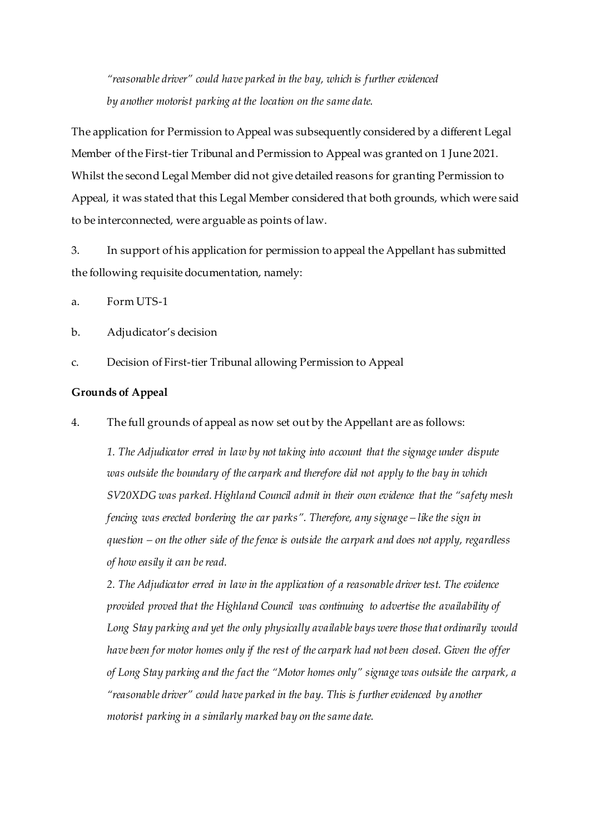*"reasonable driver" could have parked in the bay, which is further evidenced by another motorist parking at the location on the same date.* 

The application for Permission to Appeal was subsequently considered by a different Legal Member of the First-tier Tribunal and Permission to Appeal was granted on 1 June 2021. Whilst the second Legal Member did not give detailed reasons for granting Permission to Appeal, it was stated that this Legal Member considered that both grounds, which were said to be interconnected, were arguable as points of law.

3. In support of his application for permission to appeal the Appellant has submitted the following requisite documentation, namely:

a. Form UTS-1

b. Adjudicator's decision

c. Decision of First-tier Tribunal allowing Permission to Appeal

### **Grounds of Appeal**

4. The full grounds of appeal as now set out by the Appellant are as follows:

*1. The Adjudicator erred in law by not taking into account that the signage under dispute was outside the boundary of the carpark and therefore did not apply to the bay in which SV20XDG was parked. Highland Council admit in their own evidence that the "safety mesh fencing was erected bordering the car parks". Therefore, any signage – like the sign in question – on the other side of the fence is outside the carpark and does not apply, regardless of how easily it can be read.*

*2. The Adjudicator erred in law in the application of a reasonable driver test. The evidence provided proved that the Highland Council was continuing to advertise the availability of Long Stay parking and yet the only physically available bays were those that ordinarily would have been for motor homes only if the rest of the carpark had not been closed. Given the offer of Long Stay parking and the fact the "Motor homes only" signage was outside the carpark, a "reasonable driver" could have parked in the bay. This is further evidenced by another motorist parking in a similarly marked bay on the same date.*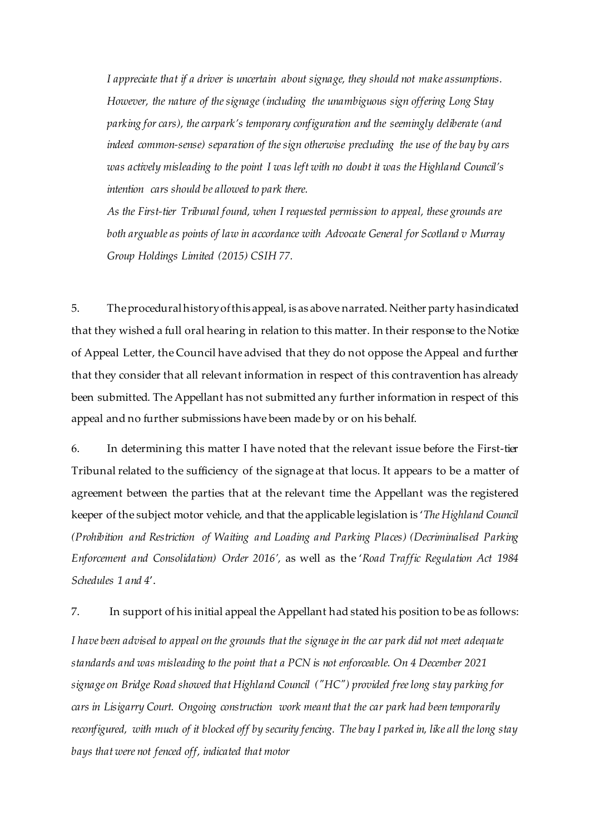*I appreciate that if a driver is uncertain about signage, they should not make assumptions. However, the nature of the signage (including the unambiguous sign offering Long Stay parking for cars), the carpark's temporary configuration and the seemingly deliberate (and indeed common-sense) separation of the sign otherwise precluding the use of the bay by cars was actively misleading to the point I was left with no doubt it was the Highland Council's intention cars should be allowed to park there.*

*As the First-tier Tribunal found, when I requested permission to appeal, these grounds are both arguable as points of law in accordance with Advocate General for Scotland v Murray Group Holdings Limited (2015) CSIH 77.* 

5. Theprocedural history of this appeal, is as above narrated. Neither party has indicated that they wished a full oral hearing in relation to this matter. In their response to the Notice of Appeal Letter, the Council have advised that they do not oppose the Appeal and further that they consider that all relevant information in respect of this contravention has already been submitted. The Appellant has not submitted any further information in respect of this appeal and no further submissions have been made by or on his behalf.

6. In determining this matter I have noted that the relevant issue before the First-tier Tribunal related to the sufficiency of the signage at that locus. It appears to be a matter of agreement between the parties that at the relevant time the Appellant was the registered keeper of the subject motor vehicle, and that the applicable legislation is '*The Highland Council (Prohibition and Restriction of Waiting and Loading and Parking Places) (Decriminalised Parking Enforcement and Consolidation) Order 2016',* as well as the '*Road Traffic Regulation Act 1984 Schedules 1 and 4*'.

7. In support of his initial appeal the Appellant had stated his position to be as follows:

*I have been advised to appeal on the grounds that the signage in the car park did not meet adequate standards and was misleading to the point that a PCN is not enforceable. On 4 December 2021 signage on Bridge Road showed that Highland Council ("HC") provided free long stay parking for cars in Lisigarry Court. Ongoing construction work meant that the car park had been temporarily reconfigured, with much of it blocked off by security fencing. The bay I parked in, like all the long stay bays that were not fenced off, indicated that motor*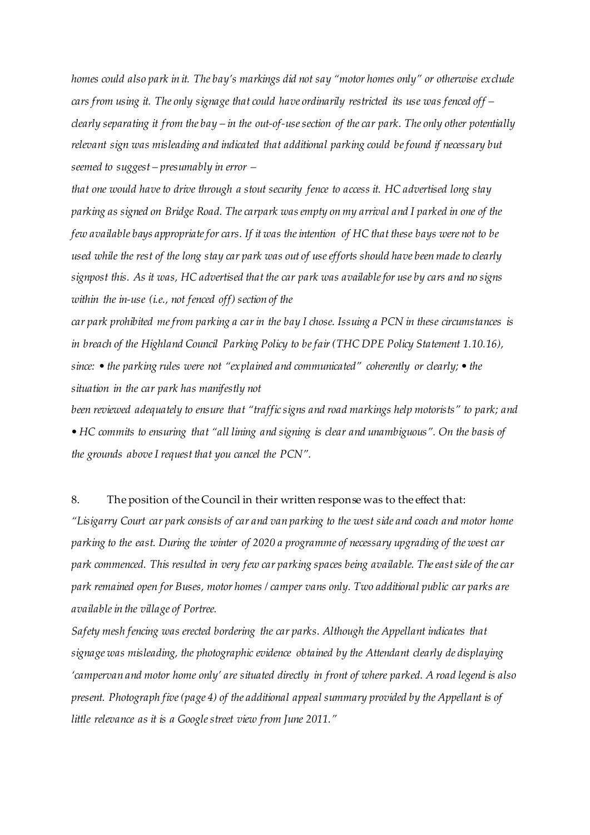*homes could also park in it. The bay's markings did not say "motor homes only" or otherwise exclude cars from using it. The only signage that could have ordinarily restricted its use was fenced off – clearly separating it from the bay – in the out-of-use section of the car park. The only other potentially relevant sign was misleading and indicated that additional parking could be found if necessary but seemed to suggest – presumably in error –*

*that one would have to drive through a stout security fence to access it. HC advertised long stay parking as signed on Bridge Road. The carpark was empty on my arrival and I parked in one of the few available bays appropriate for cars. If it was the intention of HC that these bays were not to be used while the rest of the long stay car park was out of use efforts should have been made to clearly signpost this. As it was, HC advertised that the car park was available for use by cars and no signs within the in-use (i.e., not fenced off) section of the*

*car park prohibited me from parking a car in the bay I chose. Issuing a PCN in these circumstances is in breach of the Highland Council Parking Policy to be fair (THC DPE Policy Statement 1.10.16), since: • the parking rules were not "explained and communicated" coherently or clearly; • the situation in the car park has manifestly not*

*been reviewed adequately to ensure that "traffic signs and road markings help motorists" to park; and • HC commits to ensuring that "all lining and signing is clear and unambiguous". On the basis of the grounds above I request that you cancel the PCN".*

8. The position of the Council in their written response was to the effect that:

*"Lisigarry Court car park consists of car and van parking to the west side and coach and motor home parking to the east. During the winter of 2020 a programme of necessary upgrading of the west car park commenced. This resulted in very few car parking spaces being available. The east side of the car park remained open for Buses, motor homes / camper vans only. Two additional public car parks are available in the village of Portree.*

*Safety mesh fencing was erected bordering the car parks. Although the Appellant indicates that signage was misleading, the photographic evidence obtained by the Attendant clearly de displaying 'campervan and motor home only' are situated directly in front of where parked. A road legend is also present. Photograph five (page 4) of the additional appeal summary provided by the Appellant is of little relevance as it is a Google street view from June 2011."*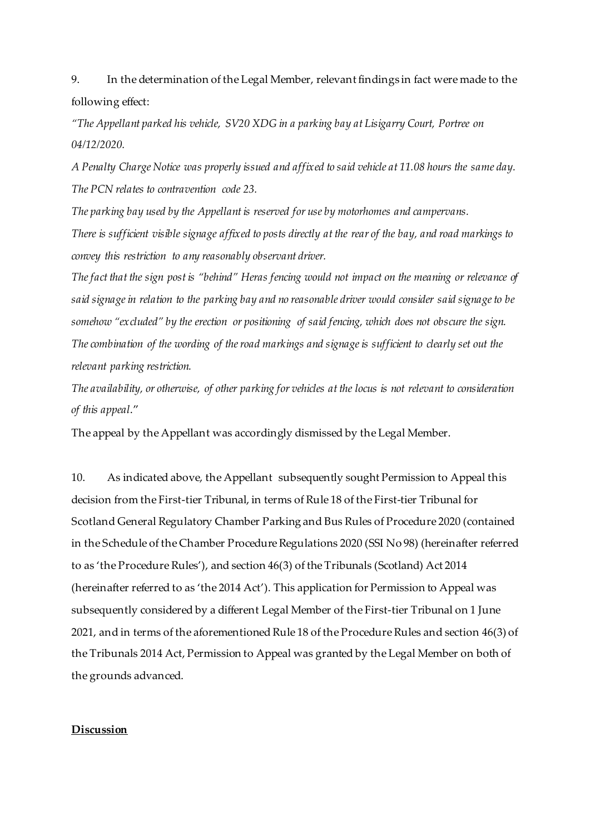9. In the determination of the Legal Member, relevant findings in fact were made to the following effect:

*"The Appellant parked his vehicle, SV20 XDG in a parking bay at Lisigarry Court, Portree on 04/12/2020.*

*A Penalty Charge Notice was properly issued and affixed to said vehicle at 11.08 hours the same day. The PCN relates to contravention code 23.*

*The parking bay used by the Appellant is reserved for use by motorhomes and campervans. There is sufficient visible signage affixed to posts directly at the rear of the bay, and road markings to convey this restriction to any reasonably observant driver.*

*The fact that the sign post is "behind" Heras fencing would not impact on the meaning or relevance of said signage in relation to the parking bay and no reasonable driver would consider said signage to be somehow "excluded" by the erection or positioning of said fencing, which does not obscure the sign. The combination of the wording of the road markings and signage is sufficient to clearly set out the relevant parking restriction.*

*The availability, or otherwise, of other parking for vehicles at the locus is not relevant to consideration of this appeal*."

The appeal by the Appellant was accordingly dismissed by the Legal Member.

10. As indicated above, the Appellant subsequently sought Permission to Appeal this decision from the First-tier Tribunal, in terms of Rule 18 of the First-tier Tribunal for Scotland General Regulatory Chamber Parking and Bus Rules of Procedure 2020 (contained in the Schedule of the Chamber Procedure Regulations 2020 (SSI No 98) (hereinafter referred to as 'the Procedure Rules'), and section 46(3) of the Tribunals (Scotland) Act 2014 (hereinafter referred to as 'the 2014 Act'). This application for Permission to Appeal was subsequently considered by a different Legal Member of the First-tier Tribunal on 1 June 2021, and in terms of the aforementioned Rule 18 of the Procedure Rules and section 46(3) of the Tribunals 2014 Act, Permission to Appeal was granted by the Legal Member on both of the grounds advanced.

#### **Discussion**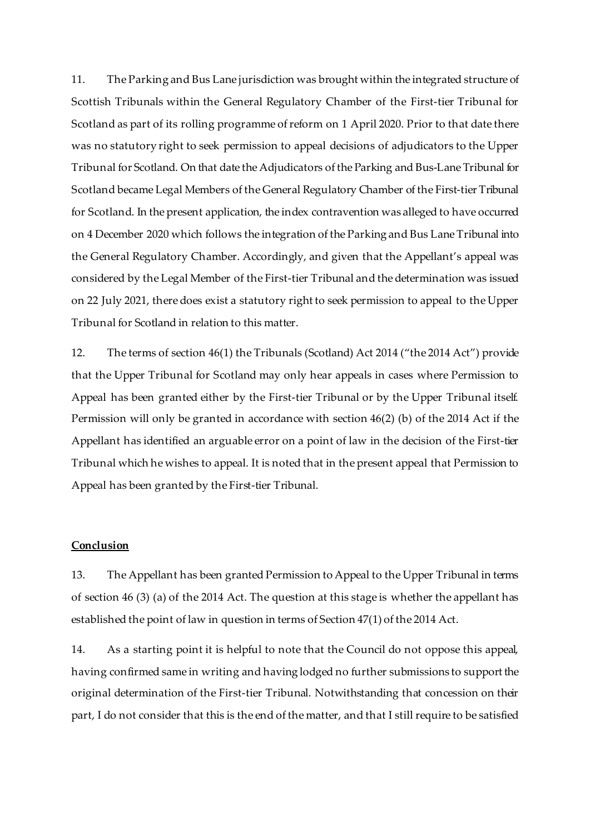11. The Parking and Bus Lane jurisdiction was brought within the integrated structure of Scottish Tribunals within the General Regulatory Chamber of the First-tier Tribunal for Scotland as part of its rolling programme of reform on 1 April 2020. Prior to that date there was no statutory right to seek permission to appeal decisions of adjudicators to the Upper Tribunal for Scotland. On that date the Adjudicators of the Parking and Bus-Lane Tribunal for Scotland became Legal Members of the General Regulatory Chamber of the First-tier Tribunal for Scotland. In the present application, the index contravention was alleged to have occurred on 4 December 2020 which follows the integration of the Parking and Bus Lane Tribunal into the General Regulatory Chamber. Accordingly, and given that the Appellant's appeal was considered by the Legal Member of the First-tier Tribunal and the determination was issued on 22 July 2021, there does exist a statutory right to seek permission to appeal to the Upper Tribunal for Scotland in relation to this matter.

12. The terms of section 46(1) the Tribunals (Scotland) Act 2014 ("the 2014 Act") provide that the Upper Tribunal for Scotland may only hear appeals in cases where Permission to Appeal has been granted either by the First-tier Tribunal or by the Upper Tribunal itself. Permission will only be granted in accordance with section 46(2) (b) of the 2014 Act if the Appellant has identified an arguable error on a point of law in the decision of the First-tier Tribunal which he wishes to appeal. It is noted that in the present appeal that Permission to Appeal has been granted by the First-tier Tribunal.

#### **Conclusion**

13. The Appellant has been granted Permission to Appeal to the Upper Tribunal in terms of section 46 (3) (a) of the 2014 Act. The question at this stage is whether the appellant has established the point of law in question in terms of Section 47(1) of the 2014 Act.

14. As a starting point it is helpful to note that the Council do not oppose this appeal, having confirmed same in writing and having lodged no further submissions to support the original determination of the First-tier Tribunal. Notwithstanding that concession on their part, I do not consider that this is the end of the matter, and that I still require to be satisfied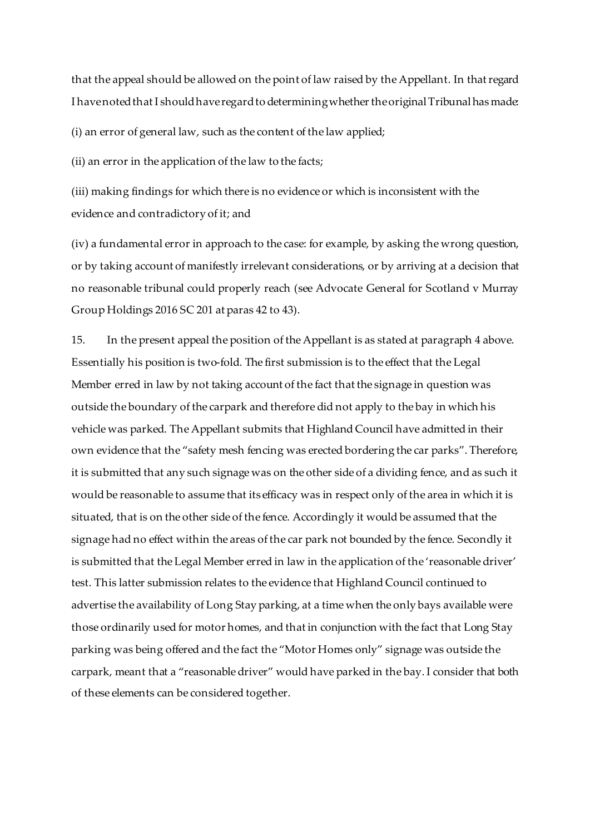that the appeal should be allowed on the point of law raised by the Appellant. In that regard I have noted that I should haveregard to determining whether the original Tribunal has made:

(i) an error of general law, such as the content of the law applied;

(ii) an error in the application of the law to the facts;

(iii) making findings for which there is no evidence or which is inconsistent with the evidence and contradictory of it; and

(iv) a fundamental error in approach to the case: for example, by asking the wrong question, or by taking account of manifestly irrelevant considerations, or by arriving at a decision that no reasonable tribunal could properly reach (see Advocate General for Scotland v Murray Group Holdings 2016 SC 201 at paras 42 to 43).

15. In the present appeal the position of the Appellant is as stated at paragraph 4 above. Essentially his position is two-fold. The first submission is to the effect that the Legal Member erred in law by not taking account of the fact that the signage in question was outside the boundary of the carpark and therefore did not apply to the bay in which his vehicle was parked. The Appellant submits that Highland Council have admitted in their own evidence that the "safety mesh fencing was erected bordering the car parks". Therefore, it is submitted that any such signage was on the other side of a dividing fence, and as such it would be reasonable to assume that its efficacy was in respect only of the area in which it is situated, that is on the other side of the fence. Accordingly it would be assumed that the signage had no effect within the areas of the car park not bounded by the fence. Secondly it is submitted that the Legal Member erred in law in the application of the 'reasonable driver' test. This latter submission relates to the evidence that Highland Council continued to advertise the availability of Long Stay parking, at a time when the only bays available were those ordinarily used for motor homes, and that in conjunction with the fact that Long Stay parking was being offered and the fact the "Motor Homes only" signage was outside the carpark, meant that a "reasonable driver" would have parked in the bay. I consider that both of these elements can be considered together.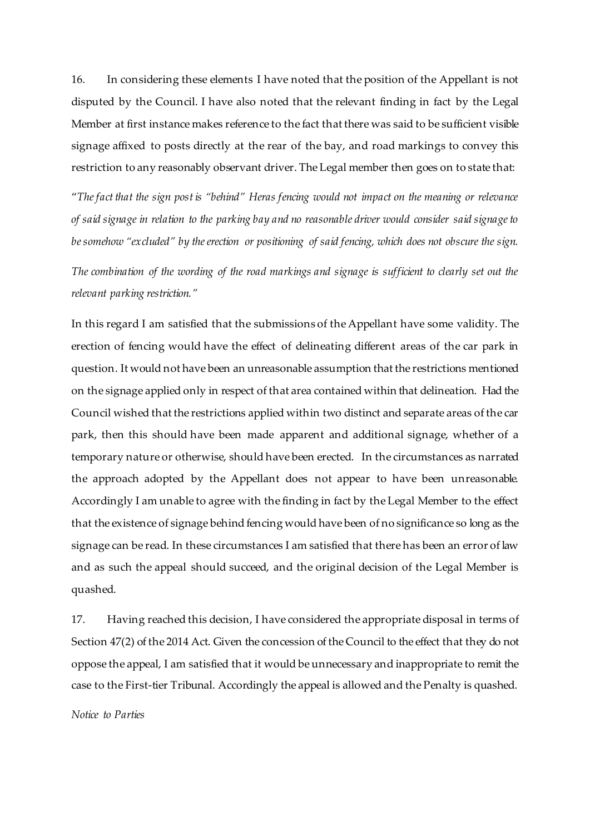16. In considering these elements I have noted that the position of the Appellant is not disputed by the Council. I have also noted that the relevant finding in fact by the Legal Member at first instance makes reference to the fact that there was said to be sufficient visible signage affixed to posts directly at the rear of the bay, and road markings to convey this restriction to any reasonably observant driver. The Legal member then goes on to state that:

"*The fact that the sign post is "behind" Heras fencing would not impact on the meaning or relevance of said signage in relation to the parking bay and no reasonable driver would consider said signage to be somehow "excluded" by the erection or positioning of said fencing, which does not obscure the sign. The combination of the wording of the road markings and signage is sufficient to clearly set out the relevant parking restriction."*

In this regard I am satisfied that the submissions of the Appellant have some validity. The erection of fencing would have the effect of delineating different areas of the car park in question. It would not have been an unreasonable assumption that the restrictions mentioned on the signage applied only in respect of that area contained within that delineation. Had the Council wished that the restrictions applied within two distinct and separate areas of the car park, then this should have been made apparent and additional signage, whether of a temporary nature or otherwise, should have been erected. In the circumstances as narrated the approach adopted by the Appellant does not appear to have been unreasonable. Accordingly I am unable to agree with the finding in fact by the Legal Member to the effect that the existence of signage behind fencing would have been of no significance so long as the signage can be read. In these circumstances I am satisfied that there has been an error of law and as such the appeal should succeed, and the original decision of the Legal Member is quashed.

17. Having reached this decision, I have considered the appropriate disposal in terms of Section 47(2) of the 2014 Act. Given the concession of the Council to the effect that they do not oppose the appeal, I am satisfied that it would be unnecessary and inappropriate to remit the case to the First-tier Tribunal. Accordingly the appeal is allowed and the Penalty is quashed.

*Notice to Parties*